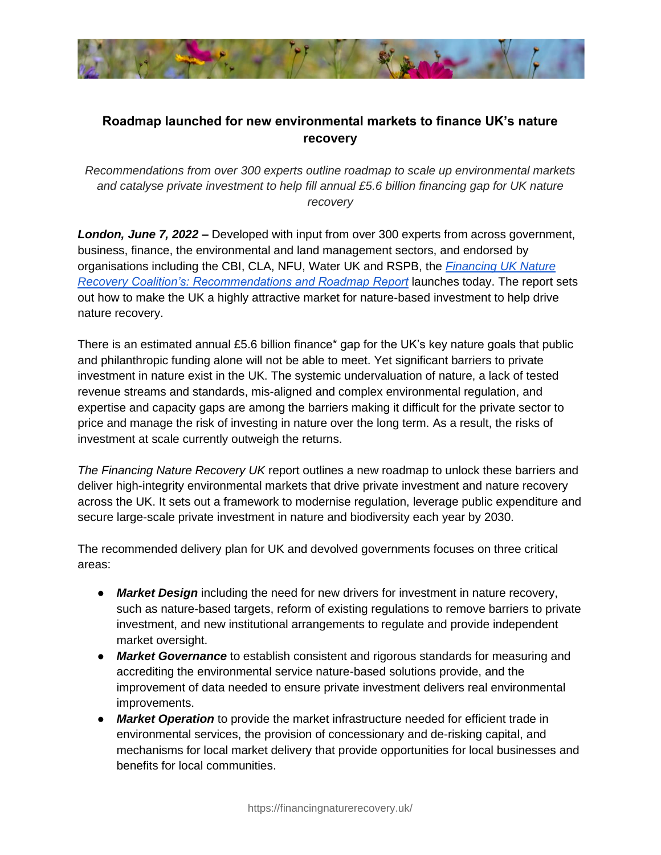

## **Roadmap launched for new environmental markets to finance UK's nature recovery**

*Recommendations from over 300 experts outline roadmap to scale up environmental markets and catalyse private investment to help fill annual £5.6 billion financing gap for UK nature recovery*

*London, June 7, 2022* **–** Developed with input from over 300 experts from across government, business, finance, the environmental and land management sectors, and endorsed by organisations including the CBI, CLA, NFU, Water UK and RSPB, the *[Financing UK Nature](https://irp.cdn-website.com/82b242bb/files/uploaded/FINAL%20Financing%20UK%20Nature%20Recovery%20Final%20Report%20ONLINE%20VERSION.pdf)  [Recovery](https://irp.cdn-website.com/82b242bb/files/uploaded/FINAL%20Financing%20UK%20Nature%20Recovery%20Final%20Report%20ONLINE%20VERSION.pdf) [Coalition's: Recommendations and Roadmap Report](https://irp.cdn-website.com/82b242bb/files/uploaded/FINAL%20Financing%20UK%20Nature%20Recovery%20Final%20Report%20ONLINE%20VERSION.pdf)* launches today. The report sets out how to make the UK a highly attractive market for nature-based investment to help drive nature recovery.

There is an estimated annual £5.6 billion finance<sup>\*</sup> gap for the UK's key nature goals that public and philanthropic funding alone will not be able to meet. Yet significant barriers to private investment in nature exist in the UK. The systemic undervaluation of nature, a lack of tested revenue streams and standards, mis-aligned and complex environmental regulation, and expertise and capacity gaps are among the barriers making it difficult for the private sector to price and manage the risk of investing in nature over the long term. As a result, the risks of investment at scale currently outweigh the returns.

*The Financing Nature Recovery UK* report outlines a new roadmap to unlock these barriers and deliver high-integrity environmental markets that drive private investment and nature recovery across the UK. It sets out a framework to modernise regulation, leverage public expenditure and secure large-scale private investment in nature and biodiversity each year by 2030.

The recommended delivery plan for UK and devolved governments focuses on three critical areas:

- *Market Design* including the need for new drivers for investment in nature recovery, such as nature-based targets, reform of existing regulations to remove barriers to private investment, and new institutional arrangements to regulate and provide independent market oversight.
- *Market Governance* to establish consistent and rigorous standards for measuring and accrediting the environmental service nature-based solutions provide, and the improvement of data needed to ensure private investment delivers real environmental improvements.
- *Market Operation* to provide the market infrastructure needed for efficient trade in environmental services, the provision of concessionary and de-risking capital, and mechanisms for local market delivery that provide opportunities for local businesses and benefits for local communities.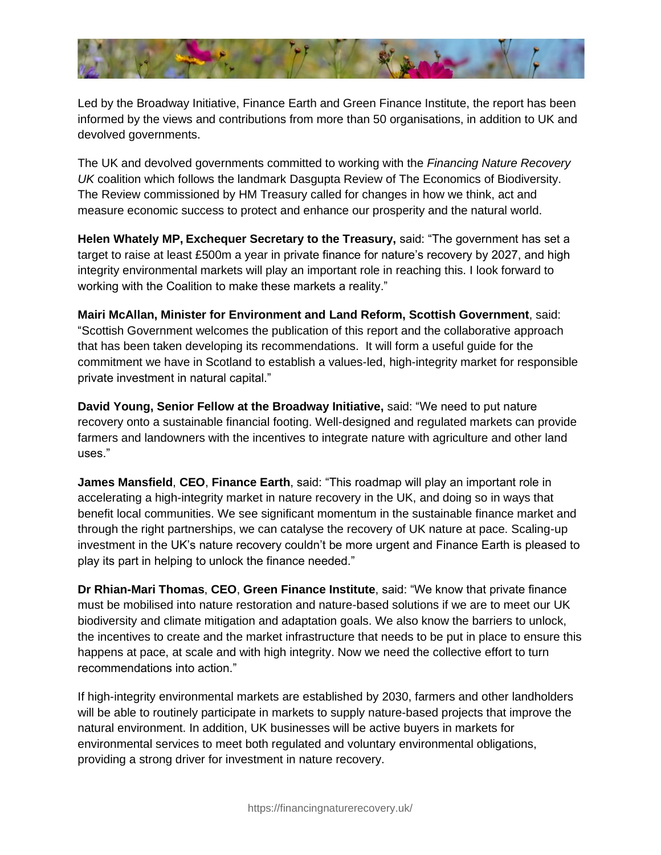

Led by the Broadway Initiative, Finance Earth and Green Finance Institute, the report has been informed by the views and contributions from more than 50 organisations, in addition to UK and devolved governments.

The UK and devolved governments committed to working with the *Financing Nature Recovery UK* coalition which follows the landmark Dasgupta Review of The Economics of Biodiversity. The Review commissioned by HM Treasury called for changes in how we think, act and measure economic success to protect and enhance our prosperity and the natural world.

**Helen Whately MP, Exchequer Secretary to the Treasury,** said: "The government has set a target to raise at least £500m a year in private finance for nature's recovery by 2027, and high integrity environmental markets will play an important role in reaching this. I look forward to working with the Coalition to make these markets a reality."

**Mairi McAllan, Minister for Environment and Land Reform, Scottish Government**, said: "Scottish Government welcomes the publication of this report and the collaborative approach that has been taken developing its recommendations. It will form a useful guide for the commitment we have in Scotland to establish a values-led, high-integrity market for responsible private investment in natural capital."

**David Young, Senior Fellow at the Broadway Initiative,** said: "We need to put nature recovery onto a sustainable financial footing. Well-designed and regulated markets can provide farmers and landowners with the incentives to integrate nature with agriculture and other land uses."

**James Mansfield**, **CEO**, **Finance Earth**, said: "This roadmap will play an important role in accelerating a high-integrity market in nature recovery in the UK, and doing so in ways that benefit local communities. We see significant momentum in the sustainable finance market and through the right partnerships, we can catalyse the recovery of UK nature at pace. Scaling-up investment in the UK's nature recovery couldn't be more urgent and Finance Earth is pleased to play its part in helping to unlock the finance needed."

**Dr Rhian-Mari Thomas**, **CEO**, **Green Finance Institute**, said: "We know that private finance must be mobilised into nature restoration and nature-based solutions if we are to meet our UK biodiversity and climate mitigation and adaptation goals. We also know the barriers to unlock, the incentives to create and the market infrastructure that needs to be put in place to ensure this happens at pace, at scale and with high integrity. Now we need the collective effort to turn recommendations into action."

If high-integrity environmental markets are established by 2030, farmers and other landholders will be able to routinely participate in markets to supply nature-based projects that improve the natural environment. In addition, UK businesses will be active buyers in markets for environmental services to meet both regulated and voluntary environmental obligations, providing a strong driver for investment in nature recovery.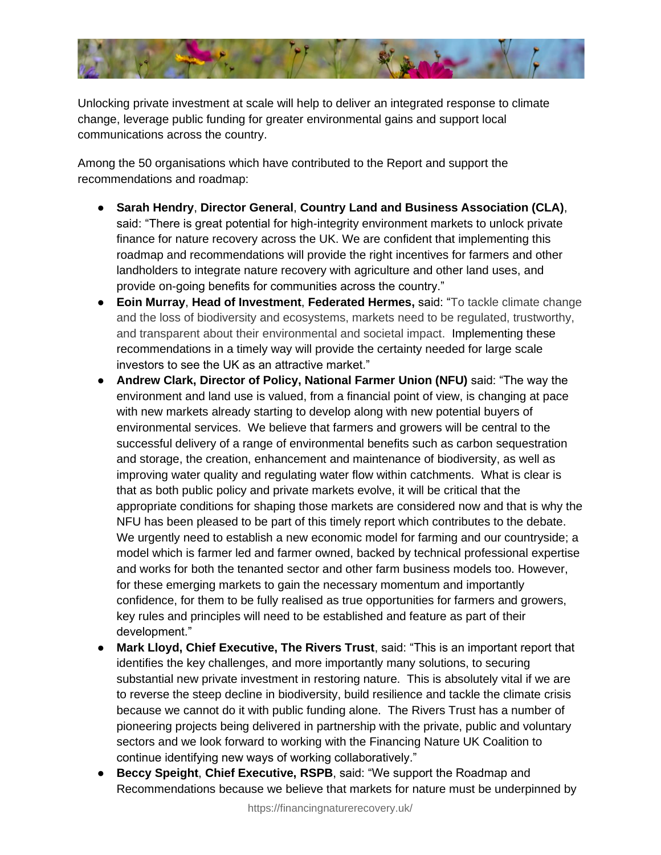

Unlocking private investment at scale will help to deliver an integrated response to climate change, leverage public funding for greater environmental gains and support local communications across the country.

Among the 50 organisations which have contributed to the Report and support the recommendations and roadmap:

- **Sarah Hendry**, **Director General**, **Country Land and Business Association (CLA)**, said: "There is great potential for high-integrity environment markets to unlock private finance for nature recovery across the UK. We are confident that implementing this roadmap and recommendations will provide the right incentives for farmers and other landholders to integrate nature recovery with agriculture and other land uses, and provide on-going benefits for communities across the country."
- **Eoin Murray**, **Head of Investment**, **Federated Hermes,** said: "To tackle climate change and the loss of biodiversity and ecosystems, markets need to be regulated, trustworthy, and transparent about their environmental and societal impact. Implementing these recommendations in a timely way will provide the certainty needed for large scale investors to see the UK as an attractive market."
- **Andrew Clark, Director of Policy, National Farmer Union (NFU)** said: "The way the environment and land use is valued, from a financial point of view, is changing at pace with new markets already starting to develop along with new potential buyers of environmental services. We believe that farmers and growers will be central to the successful delivery of a range of environmental benefits such as carbon sequestration and storage, the creation, enhancement and maintenance of biodiversity, as well as improving water quality and regulating water flow within catchments. What is clear is that as both public policy and private markets evolve, it will be critical that the appropriate conditions for shaping those markets are considered now and that is why the NFU has been pleased to be part of this timely report which contributes to the debate. We urgently need to establish a new economic model for farming and our countryside; a model which is farmer led and farmer owned, backed by technical professional expertise and works for both the tenanted sector and other farm business models too. However, for these emerging markets to gain the necessary momentum and importantly confidence, for them to be fully realised as true opportunities for farmers and growers, key rules and principles will need to be established and feature as part of their development."
- **Mark Lloyd, Chief Executive, The Rivers Trust**, said: "This is an important report that identifies the key challenges, and more importantly many solutions, to securing substantial new private investment in restoring nature. This is absolutely vital if we are to reverse the steep decline in biodiversity, build resilience and tackle the climate crisis because we cannot do it with public funding alone. The Rivers Trust has a number of pioneering projects being delivered in partnership with the private, public and voluntary sectors and we look forward to working with the Financing Nature UK Coalition to continue identifying new ways of working collaboratively."
- **Beccy Speight**, **Chief Executive, RSPB**, said: "We support the Roadmap and Recommendations because we believe that markets for nature must be underpinned by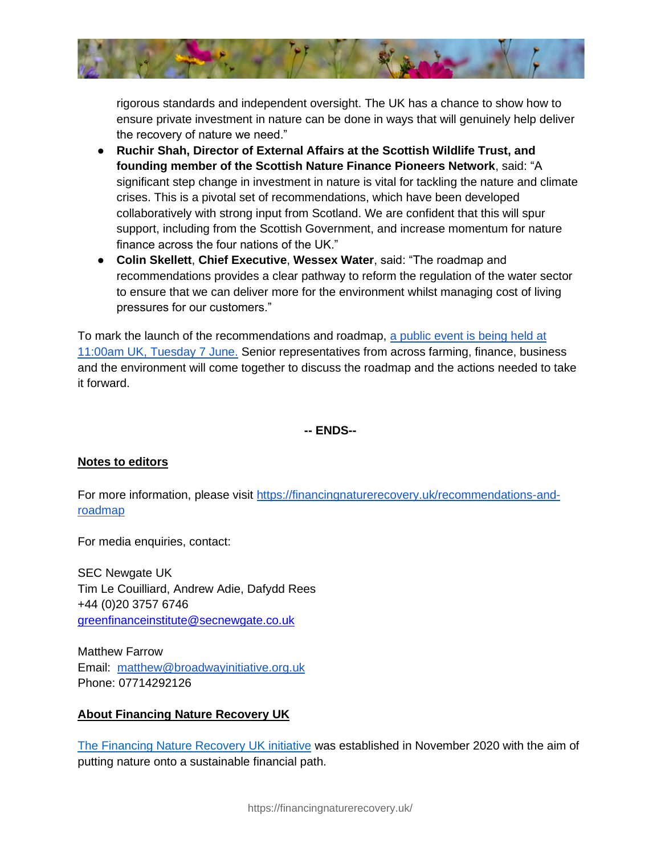

rigorous standards and independent oversight. The UK has a chance to show how to ensure private investment in nature can be done in ways that will genuinely help deliver the recovery of nature we need."

- **Ruchir Shah, Director of External Affairs at the Scottish Wildlife Trust, and founding member of the Scottish Nature Finance Pioneers Network**, said: "A significant step change in investment in nature is vital for tackling the nature and climate crises. This is a pivotal set of recommendations, which have been developed collaboratively with strong input from Scotland. We are confident that this will spur support, including from the Scottish Government, and increase momentum for nature finance across the four nations of the UK."
- **Colin Skellett**, **Chief Executive**, **Wessex Water**, said: "The roadmap and recommendations provides a clear pathway to reform the regulation of the water sector to ensure that we can deliver more for the environment whilst managing cost of living pressures for our customers."

To mark the launch of the recommendations and roadmap, [a public event is being held at](https://www.eventbrite.com.au/e/the-roadmap-for-financing-natures-recovery-in-the-uk-registration-339655979177)  [11:00am UK, Tuesday 7 June.](https://www.eventbrite.com.au/e/the-roadmap-for-financing-natures-recovery-in-the-uk-registration-339655979177) Senior representatives from across farming, finance, business and the environment will come together to discuss the roadmap and the actions needed to take it forward.

**-- ENDS--**

## **Notes to editors**

For more information, please visit [https://financingnaturerecovery.uk/recommendations-and](https://financingnaturerecovery.uk/recommendations-and-roadmap)[roadmap](https://financingnaturerecovery.uk/recommendations-and-roadmap)

For media enquiries, contact:

SEC Newgate UK Tim Le Couilliard, Andrew Adie, Dafydd Rees +44 (0)20 3757 6746 [greenfinanceinstitute@secnewgate.co.uk](mailto:greenfinanceinstitute@secnewgate.co.uk)

Matthew Farrow Email: [matthew@broadwayinitiative.org.uk](mailto:matthew@broadwayinitiative.org.uk) Phone: 07714292126

## **About Financing Nature Recovery UK**

[The Financing Nature Recovery UK initiative](https://www.financingnaturerecovery.uk/) was established in November 2020 with the aim of putting nature onto a sustainable financial path.